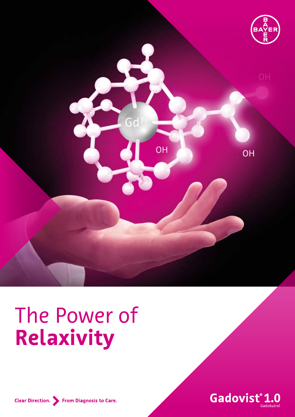

# The Power of **Relaxivity**



Clear Direction. > From Diagnosis to Care.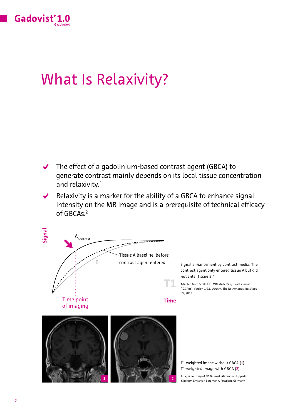

## What Is Relaxivity?

- $\blacktriangleright$  The effect of a gadolinium-based contrast agent (GBCA) to generate contrast mainly depends on its local tissue concentration and relaxivity.<sup>1</sup>
- $\checkmark$ Relaxivity is a marker for the ability of a GBCA to enhance signal intensity on the MR image and is a prerequisite of technical efficacy of GBCAs.2

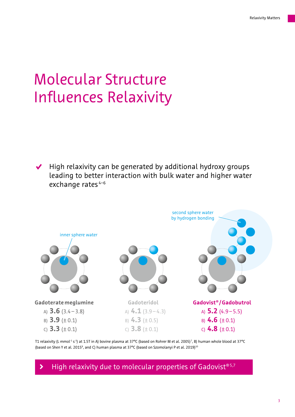## Molecular Structure Influences Relaxivity

 $\blacktriangleright$  High relaxivity can be generated by additional hydroxy groups leading to better interaction with bulk water and higher water exchange rates<sup>4-6</sup>



T1 relaxivity (L mmol<sup>-1</sup> s<sup>-1</sup>) at 1.5T in A) bovine plasma at 37°C (based on Rohrer M et al. 2005)<sup>7</sup>, B) human whole blood at 37°C (based on Shen Y et al. 2015<sup>8</sup>, and C) human plasma at 37°C (based on Szomolanyi P et al. 2019)<sup>10</sup>

 $\blacktriangleright$  High relaxivity due to molecular properties of Gadovist®5,7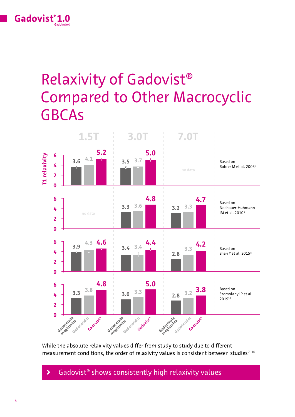

## Relaxivity of Gadovist® Compared to Other Macrocyclic GBCAs



While the absolute relaxivity values differ from study to study due to different measurement conditions, the order of relaxivity values is consistent between studies $7-10$ 

### $\blacktriangleright$  Gadovist<sup>®</sup> shows consistently high relaxivity values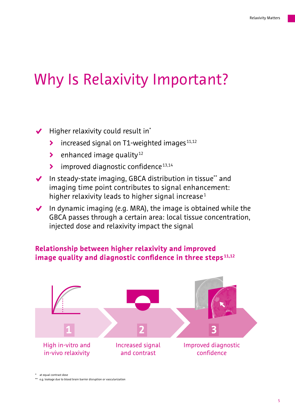### Why Is Relaxivity Important?

### $\blacktriangleright$  Higher relaxivity could result in<sup>\*</sup>

- increased signal on T1-weighted images  $11,12$
- $\blacktriangleright$  enhanced image quality<sup>12</sup>
- $\blacktriangleright$  improved diagnostic confidence<sup>13,14</sup>
- $\blacktriangleright$  In steady-state imaging, GBCA distribution in tissue\*\* and imaging time point contributes to signal enhancement: higher relaxivity leads to higher signal increase<sup>1</sup>
- $\blacktriangleright$  In dynamic imaging (e.g. MRA), the image is obtained while the GBCA passes through a certain area: local tissue concentration, injected dose and relaxivity impact the signal

### **Relationship between higher relaxivity and improved image quality and diagnostic confidence in three steps 11,12**



at equal contrast dose

\*\* e.g. leakage due to blood brain barrier disruption or vascularization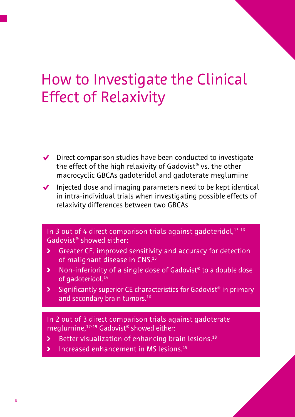## How to Investigate the Clinical Effect of Relaxivity

- $\blacktriangleright$  Direct comparison studies have been conducted to investigate the effect of the high relaxivity of Gadovist® vs. the other macrocyclic GBCAs gadoteridol and gadoterate meglumine
- Injected dose and imaging parameters need to be kept identical in intra-individual trials when investigating possible effects of relaxivity differences between two GBCAs

### In 3 out of 4 direct comparison trials against gadoteridol, 13-16 Gadovist® showed either:

- S Greater CE, improved sensitivity and accuracy for detection of malignant disease in CNS.13
- **▶** Non-inferiority of a single dose of Gadovist<sup>®</sup> to a double dose of gadoteridol.<sup>14</sup>
- $\blacktriangleright$  Significantly superior CE characteristics for Gadovist<sup>®</sup> in primary and secondary brain tumors.<sup>16</sup>

In 2 out of 3 direct comparison trials against gadoterate meglumine,17-19 Gadovist® showed either:

- $\blacktriangleright$  Better visualization of enhancing brain lesions.<sup>18</sup>
- $\blacktriangleright$  Increased enhancement in MS lesions.<sup>19</sup>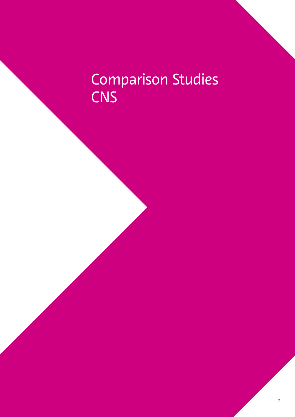## Comparison Studies **CNS**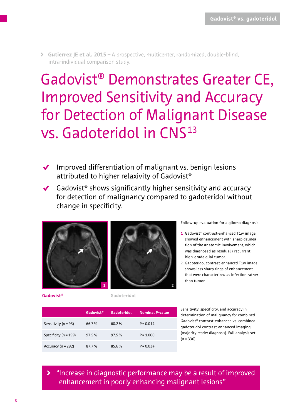• **Gutierrez JE et al. 2015** – A prospective, multicenter, randomized, double-blind, intra-individual comparison study.

Gadovist® Demonstrates Greater CE, Improved Sensitivity and Accuracy for Detection of Malignant Disease vs. Gadoteridol in CNS<sup>13</sup>

- $\sqrt{\phantom{a}}$  Improved differentiation of malignant vs. benign lesions attributed to higher relaxivity of Gadovist®
- $\triangleleft$  Gadovist<sup>®</sup> shows significantly higher sensitivity and accuracy for detection of malignancy compared to gadoteridol without change in specificity.





Follow-up evaluation for a glioma diagnosis.

- **1** Gadovist® contrast-enhanced T1w image showed enhancement with sharp delineation of the anatomic involvement, which was diagnosed as residual / recurrent high-grade glial tumor.
- **2** Gadoteridol contrast-enhanced T1w image shows less sharp rings of enhancement that were characterized as infection rather than tumor.

**Gadovist® Gadoteridol** 

**Gadovist® Gadoteridol Nominal P-value** 

Sensitivity (n=93) 66.7% 60.2% P=0.014

Specificity (n=199) 97.5% 97.5% P=1.000

Accuracy (n=292) 87.7% 85.6% P=0.034

 gadoteridol contrast-enhanced imaging  $(n = 336)$ . Sensitivity, specificity, and accuracy in determination of malignancy for combined Gadovist® contrast-enhanced vs. combined (majority reader diagnosis). Full analysis set

¡ "Increase in diagnostic performance may be a result of improved enhancement in poorly enhancing malignant lesions"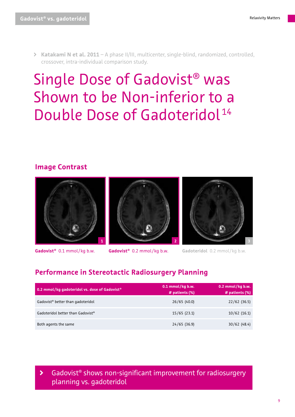• **Katakami N et al. 2011** – A phase II/III, multicenter, single-blind, randomized, controlled, crossover, intra-individual comparison study.

### Single Dose of Gadovist® was Shown to be Non-inferior to a Double Dose of Gadoteridol<sup>14</sup>

### **Image Contrast**







**Gadovist<sup>®</sup> 0.2 mmol/kg b.w. Gadoteridol** 0.2 mmol/kg b.w.



### **Performance in Stereotactic Radiosurgery Planning**

| 0.2 mmol/kg gadoteridol vs. dose of Gadovist <sup>®</sup> | $0.1$ mmol/kg b.w.<br># patients (%) | $0.2$ mmol/kg b.w.<br># patients (%) |
|-----------------------------------------------------------|--------------------------------------|--------------------------------------|
| Gadovist <sup>®</sup> better than gadoteridol             | 26/65(40.0)                          | 22/62(36.5)                          |
| Gadoteridol better than Gadovist®                         | 15/65(23.1)                          | 10/62(16.1)                          |
| Both agents the same                                      | 24/65(36.9)                          | 30/62(48.4)                          |

Gadovist<sup>®</sup> shows non-significant improvement for radiosurgery planning vs. gadoteridol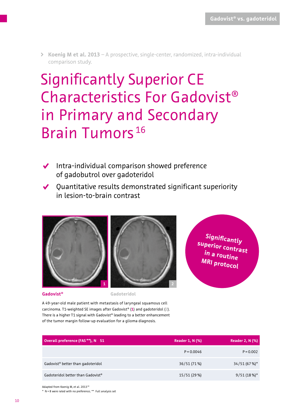• **Koenig M et al. 2013** – A prospective, single-center, randomized, intra-individual comparison study.

## Significantly Superior CE Characteristics For Gadovist® in Primary and Secondary Brain Tumors<sup>16</sup>

- $\blacktriangleright$  Intra-individual comparison showed preference of gadobutrol over gadoteridol
- $\blacktriangledown$  Quantitative results demonstrated significant superiority in lesion-to-brain contrast





**Significantly superior contrast in a routine MRI protocol** 

**Gadovist® Gadoteridol** 

A 49-year-old male patient with metastasis of laryngeal squamous cell carcinoma. T1-weighted SE images after Gadovist® (**1**) and gadoteridol (**2**). There is a higher T1 signal with Gadovist® leading to a better enhancement of the tumor margin follow-up evaluation for a glioma diagnosis.

| Overall preference (FAS**), N 51              | <b>Reader 1, N (%)</b> | <b>Reader 2, N (%)</b> |
|-----------------------------------------------|------------------------|------------------------|
|                                               | $P = 0.0046$           | $P = 0.002$            |
| Gadovist <sup>®</sup> better than gadoteridol | 36/51 (71%)            | 34/51 (67 %)*          |
| Gadoteridol better than Gadovist®             | 15/51 (29 %)           | $9/51(18%)$ *          |

Adapted from Koenig M, et al. 2013<sup>16</sup>

\* N = 8 were rated with no preference; \*\* Full analysis set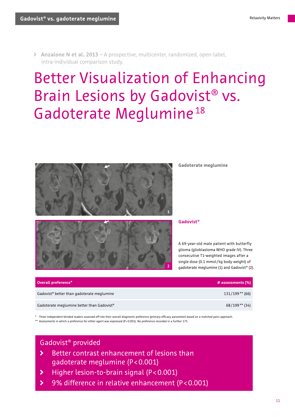• **Anzalone N et al. 2013** – A prospective, multicenter, randomized, open-label, intra-individual comparison study.

## Better Visualization of Enhancing Brain Lesions by Gadovist® vs. Gadoterate Meglumine <sup>18</sup>



**Gadoterate meglumine** 



**Gadovist®** 

A 69-year-old male patient with butterfly glioma (glioblastoma WHO grade IV). Three consecutive T1-weighted images after a single dose (0.1 mmol/kg body weight) of gadoterate meglumine (**1**) and Gadovist® (**2**).

| Overall preference*                                    | # assessments $(\%)$ |
|--------------------------------------------------------|----------------------|
| Gadovist <sup>®</sup> better than gadoterate meglumine | $131/199**$ (66)     |
| Gadoterate meglumine better than Gadovist®             | 68/199**(34)         |

 \* Three independent blinded readers assessed off-site their overall diagnostic preference (primary efficacy parameter) based on a matched pairs approach. \*\* Assessments in which a preference for either agent was expressed (P < 0.001). No preference recorded in a further 175.

### Gadovist® provided

- $\blacktriangleright$  gadoterate meglumine (P< 0.001) Better contrast enhancement of lesions than
- ¡ Higher lesion-to-brain signal (P < 0.001)
- **▶** 9% difference in relative enhancement (P<0.001)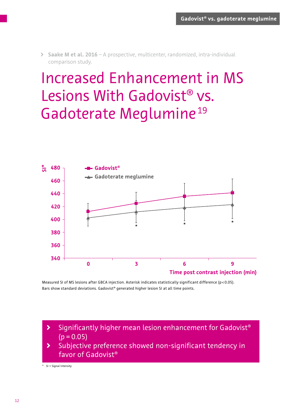• **Saake M et al. 2016** – A prospective, multicenter, randomized, intra-individual comparison study.

## Increased Enhancement in MS Lesions With Gadovist® vs. Gadoterate Meglumine<sup>19</sup>



 Measured SI of MS lesions after GBCA injection. Asterisk indicates statistically significant difference (p < 0.05). Bars show standard deviations. Gadovist® generated higher lesion SI at all time points.

 $\blacktriangleright$  $(p = 0.05)$ Significantly higher mean lesion enhancement for Gadovist®

¡ Subjective preference showed non-significant tendency in favor of Gadovist®

\* SI = Signal Intensity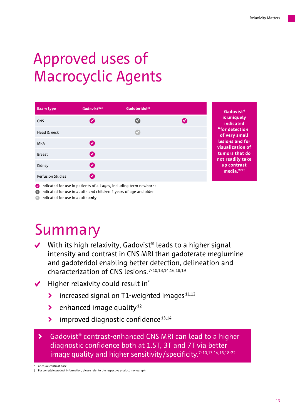## Approved uses of Macrocyclic Agents

| <b>Exam type</b>         | Gadovist <sup>®22</sup> | Gadoteridol <sup>23</sup> |                      |
|--------------------------|-------------------------|---------------------------|----------------------|
| <b>CNS</b>               | $\boldsymbol{\sigma}$   | $\boldsymbol{\sigma}$     | $\blacktriangledown$ |
| Head & neck              |                         |                           |                      |
| <b>MRA</b>               | Ø                       |                           |                      |
| <b>Breast</b>            | $\boldsymbol{\sigma}$   |                           |                      |
| Kidney                   | $\boldsymbol{\omega}$   |                           |                      |
| <b>Perfusion Studies</b> |                         |                           |                      |

 $\bullet$  indicated for use in patients of all ages, including term newborns

 $\bullet$  indicated for use in adults and children 2 years of age and older

S indicated for use in adults **only** 

### Summary

- $\blacktriangleright$  With its high relaxivity, Gadovist<sup>®</sup> leads to a higher signal intensity and contrast in CNS MRI than gadoterate meglumine and gadoteridol enabling better detection, delineation and characterization of CNS lesions.7-10,13,14,16,18,19
- $\blacktriangledown$ Higher relaxivity could result in\*
	- $\blacktriangleright$ increased signal on  $T1$ -weighted images<sup>11,12</sup>
	- $\blacktriangleright$ enhanced image quality $12$
	- $\blacktriangleright$  improved diagnostic confidence<sup>13,14</sup>

**▶** Gadovist<sup>®</sup> contrast-enhanced CNS MRI can lead to a higher diagnostic confidence both at 1.5T, 3T and 7T via better image quality and higher sensitivity/specificity.<sup>7-10,13,14,16,18-22</sup>

† For complete product information, please refer to the respective product monograph

at equal contrast dose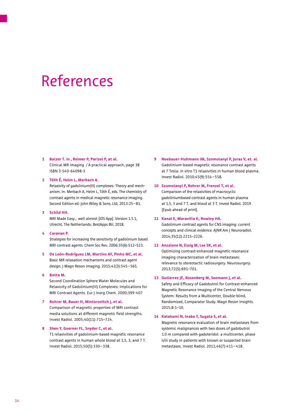### References

#### **1 Balzer T. in , Reimer P, Parizel P, at al.**

Clinical MR Imaging / A practical approach, page 38 ISBN 3-540-64098-3

#### **2 Tóth É, Helm L, Merbach A.**

Relaxivity of gadolinium(III) complexes: Theory and mechanism. In: Merbach A, Helm L, Tóth É, eds. The chemistry of contrast agents in medical magnetic resonance imaging. Second Edition ed: John Wiley & Sons, Ltd; 2013:25–81.

#### **3 Schild HH.**

MRI Made Easy... well almost [iOS App]. Version 1.5.1, Utrecht, The Netherlands: BestApps BV; 2018.

#### **4 Caravan P.**

Strategies for increasing the sensitivity of gadolinium based MRI contrast agents. Chem Soc Rev. 2006;35(6):512–523.

**5 De León-Rodríguez LM, Martins AF, Pinho MC, et al.**  Basic MR relaxation mechanisms and contrast agent design. J Magn Reson Imaging. 2015;42(3):545–565.

#### **6 Botta M.**

Second Coordination Sphere Water Molecules and Relaxivity of Gadolinium(III) Complexes: Implications for MRI Contrast Agents. Eur J Inorg Chem. 2000;399-407

### **7 Rohrer M, Bauer H, Mintorovitch J, et al.**  Comparison of magnetic properties of MRI contrast media solutions at different magnetic field strengths. Invest Radiol. 2005;40(11):715–724.

**8 Shen Y, Goerner FL, Snyder C, et al.**  T1 relaxivities of gadolinium-based magnetic resonance contrast agents in human whole blood at 1.5, 3, and 7 T. Invest Radiol. 2015;50(5):330–338.

 Invest Radiol. 2010;45(9):554 – 558. **9 Noebauer-Huhmann IM, Szomolanyi P, Juras V, et. al.**  Gadolinium-based magnetic resonance contrast agents at 7 Tesla: in vitro T1 relaxivities in human blood plasma.

#### **10 Szomolanyi P, Rohrer M, Frenzel T, et al.**

Comparison of the relaxivities of macrocyclic gadoliniumbased contrast agents in human plasma at 1.5, 3 and 7 T, and blood at 3 T. Invest Radiol. 2019 [Epub ahead of print].

#### **11 Kanal E, Maravilla K, Rowley HA.**

Gadolinium contrast agents for CNS imaging: current concepts and clinical evidence. AJNR Am J Neuroradiol. 2014;35(12):2215–2226.

#### **12 Anzalone N, Essig M, Lee SK, et al.**

Optimizing contrast-enhanced magnetic resonance imaging characterization of brain metastases: relevance to stereotactic radiosurgery. Neurosurgery. 2013;72(5):691–701.

#### **13 Gutierrez JE, Rosenberg M, Seemann J, et al.**

Safety and Efficacy of Gadobutrol for Contrast-enhanced Magnetic Resonance Imaging of the Central Nervous System: Results from a Multicenter, Double-blind, Randomized, Comparator Study. Magn Reson Insights. 2015;8:1–10.

#### **14 Katakami N, Inaba Y, Sugata S, et al.**

 metastases. Invest Radiol. 2011;46(7):411 – 418. Magnetic resonance evaluation of brain metastases from systemic malignances with two doses of gadobutrol 1.0 m compared with gadoteridol: a multicenter, phase ii/iii study in patients with known or suspected brain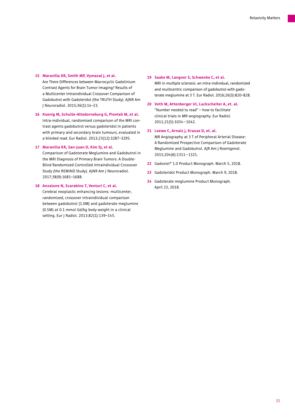#### **15 Maravilla KR, Smith MP, Vymazal J, et al.**

Are There Differences between Macrocyclic Gadolinium Contrast Agents for Brain Tumor Imaging? Results of a Multicenter Intraindividual Crossover Comparison of Gadobutrol with Gadoteridol (the TRUTH Study). AJNR Am J Neuroradiol. 2015;36(1):14–23.

**16 Koenig M, Schulte-Altedorneburg G, Piontek M, et al.**  Intra-individual, randomised comparison of the MRI contrast agents gadobutrol versus gadoteridol in patients with primary and secondary brain tumours, evaluated in a blinded read. Eur Radiol. 2013;23(12):3287–3295.

#### **17 Maravilla KR, San-Juan D, Kim SJ, et al.**

Comparison of Gadoterate Meglumine and Gadobutrol in the MRI Diagnosis of Primary Brain Tumors: A Double-Blind Randomized Controlled Intraindividual Crossover Study (the REMIND Study). AJNR Am J Neuroradiol. 2017;38(9):1681–1688.

#### **18 Anzalone N, Scarabino T, Venturi C, et al.**

Cerebral neoplastic enhancing lesions: multicenter, randomized, crossover intraindividual comparison between gadobutrol (1.0M) and gadoterate meglumine (0.5M) at 0.1 mmol Gd/kg body weight in a clinical setting. Eur J Radiol. 2013;82(1):139–145.

- **19 Saake M, Langner S, Schwenke C, et al.**  MRI in multiple sclerosis: an intra-individual, randomized and multicentric comparison of gadobutrol with gadoterate meglumine at 3 T. Eur Radiol. 2016;26(3):820–828.
- **20 Voth M, Attenberger UI, Luckscheiter A, et. al.**  2011;21(5):1034 – 1042. "Number needed to read" – how to facilitate clinical trials in MR-angiography. Eur Radiol.
- **21 Loewe C, Arnaiz J, Krause D, et. al.**  2015;204(6):1311 – 1321. MR Angiography at 3 T of Peripheral Arterial Disease: A Randomized Prospective Comparison of Gadoterate Meglumine and Gadobutrol. AJR Am J Roentgenol.
- **22** Gadovist® 1.0 Product Monograph. March 5, 2018.
- **23** Gadoteridol Product Monograph. March 9, 2018.
- **24** Gadoterate meglumine Product Monograph. April 23, 2018.